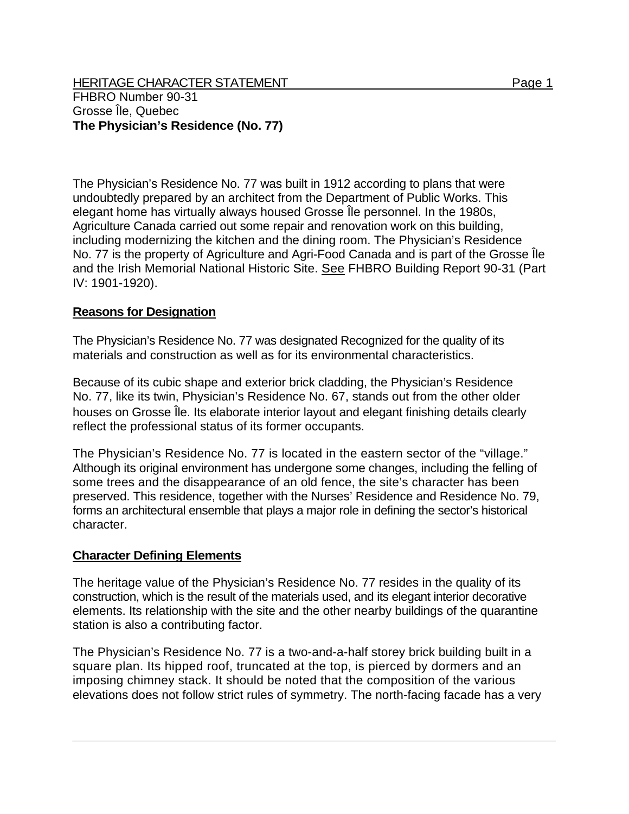HERITAGE CHARACTER STATEMENT FRIELD FOR A STATEMENT AND RAGE 1 FHBRO Number 90-31 Grosse Île, Quebec **The Physician's Residence (No. 77)** 

The Physician's Residence No. 77 was built in 1912 according to plans that were undoubtedly prepared by an architect from the Department of Public Works. This elegant home has virtually always housed Grosse Île personnel. In the 1980s, Agriculture Canada carried out some repair and renovation work on this building, including modernizing the kitchen and the dining room. The Physician's Residence No. 77 is the property of Agriculture and Agri-Food Canada and is part of the Grosse Île and the Irish Memorial National Historic Site. See FHBRO Building Report 90-31 (Part IV: 1901-1920).

## **Reasons for Designation**

The Physician's Residence No. 77 was designated Recognized for the quality of its materials and construction as well as for its environmental characteristics.

Because of its cubic shape and exterior brick cladding, the Physician's Residence No. 77, like its twin, Physician's Residence No. 67, stands out from the other older houses on Grosse Île. Its elaborate interior layout and elegant finishing details clearly reflect the professional status of its former occupants.

The Physician's Residence No. 77 is located in the eastern sector of the "village." Although its original environment has undergone some changes, including the felling of some trees and the disappearance of an old fence, the site's character has been preserved. This residence, together with the Nurses' Residence and Residence No. 79, forms an architectural ensemble that plays a major role in defining the sector's historical character.

## **Character Defining Elements**

The heritage value of the Physician's Residence No. 77 resides in the quality of its construction, which is the result of the materials used, and its elegant interior decorative elements. Its relationship with the site and the other nearby buildings of the quarantine station is also a contributing factor.

The Physician's Residence No. 77 is a two-and-a-half storey brick building built in a square plan. Its hipped roof, truncated at the top, is pierced by dormers and an imposing chimney stack. It should be noted that the composition of the various elevations does not follow strict rules of symmetry. The north-facing facade has a very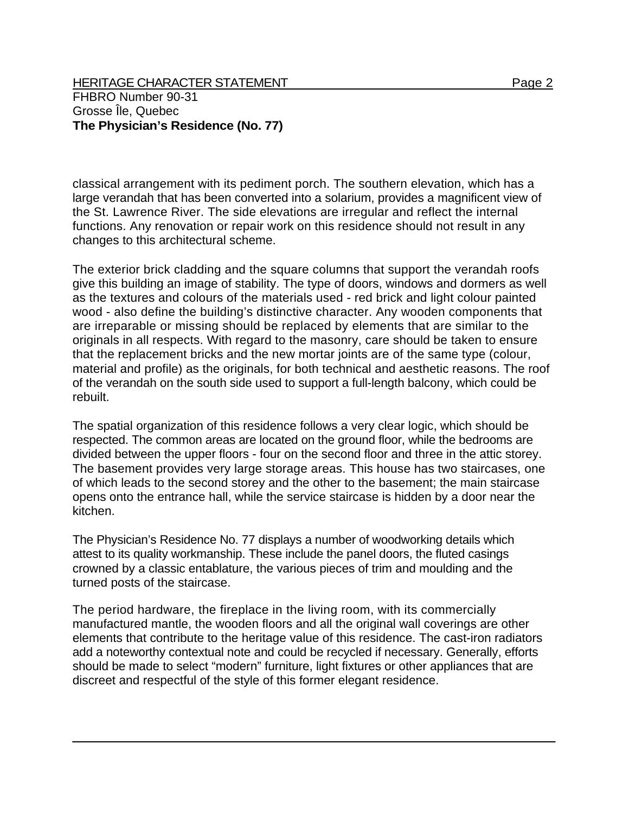HERITAGE CHARACTER STATEMENT FRIELD FOR A STATEMENT AND RAGE 2 FHBRO Number 90-31 Grosse Île, Quebec **The Physician's Residence (No. 77)** 

classical arrangement with its pediment porch. The southern elevation, which has a large verandah that has been converted into a solarium, provides a magnificent view of the St. Lawrence River. The side elevations are irregular and reflect the internal functions. Any renovation or repair work on this residence should not result in any changes to this architectural scheme.

The exterior brick cladding and the square columns that support the verandah roofs give this building an image of stability. The type of doors, windows and dormers as well as the textures and colours of the materials used - red brick and light colour painted wood - also define the building's distinctive character. Any wooden components that are irreparable or missing should be replaced by elements that are similar to the originals in all respects. With regard to the masonry, care should be taken to ensure that the replacement bricks and the new mortar joints are of the same type (colour, material and profile) as the originals, for both technical and aesthetic reasons. The roof of the verandah on the south side used to support a full-length balcony, which could be rebuilt.

The spatial organization of this residence follows a very clear logic, which should be respected. The common areas are located on the ground floor, while the bedrooms are divided between the upper floors - four on the second floor and three in the attic storey. The basement provides very large storage areas. This house has two staircases, one of which leads to the second storey and the other to the basement; the main staircase opens onto the entrance hall, while the service staircase is hidden by a door near the kitchen.

The Physician's Residence No. 77 displays a number of woodworking details which attest to its quality workmanship. These include the panel doors, the fluted casings crowned by a classic entablature, the various pieces of trim and moulding and the turned posts of the staircase.

The period hardware, the fireplace in the living room, with its commercially manufactured mantle, the wooden floors and all the original wall coverings are other elements that contribute to the heritage value of this residence. The cast-iron radiators add a noteworthy contextual note and could be recycled if necessary. Generally, efforts should be made to select "modern" furniture, light fixtures or other appliances that are discreet and respectful of the style of this former elegant residence.